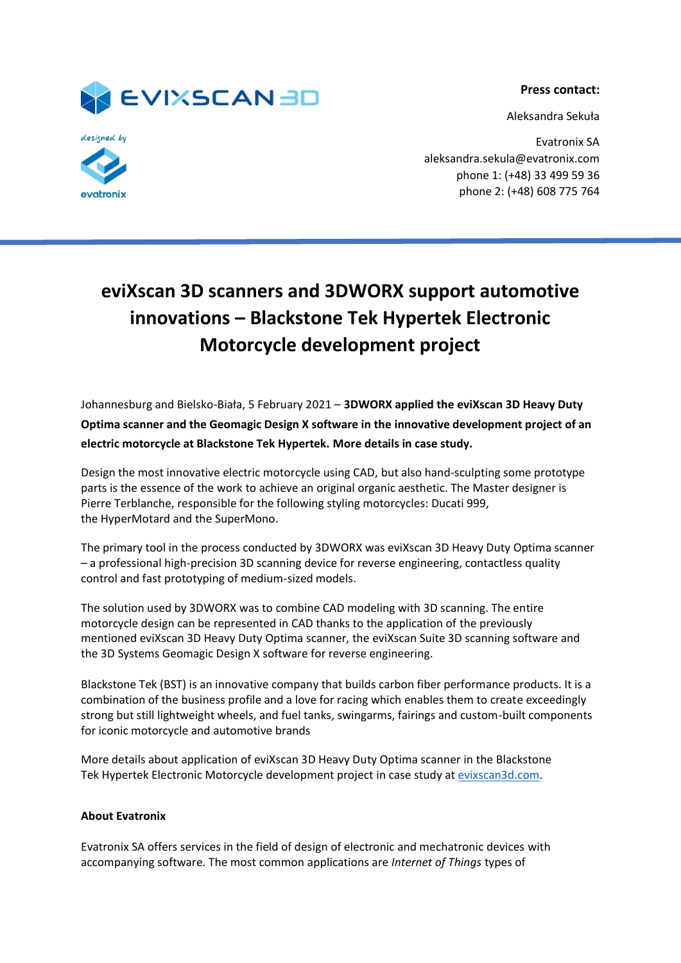**Press contact:**



Aleksandra Sekuła



Evatronix SA aleksandra.sekula@evatronix.com phone 1: (+48) 33 499 59 36 phone 2: (+48) 608 775 764

## **eviXscan 3D scanners and 3DWORX support automotive innovations – Blackstone Tek Hypertek Electronic Motorcycle development project**

Johannesburg and Bielsko-Biała, 5 February 2021 – **3DWORX applied the eviXscan 3D Heavy Duty Optima scanner and the Geomagic Design X software in the innovative development project of an electric motorcycle at Blackstone Tek Hypertek. More details in case study.**

Design the most innovative electric motorcycle using CAD, but also hand-sculpting some prototype parts is the essence of the work to achieve an original organic aesthetic. The Master designer is Pierre Terblanche, responsible for the following styling motorcycles: Ducati 999, the HyperMotard and the SuperMono.

The primary tool in the process conducted by 3DWORX was eviXscan 3D Heavy Duty Optima scanner – a professional high-precision 3D scanning device for reverse engineering, contactless quality control and fast prototyping of medium-sized models.

The solution used by 3DWORX was to combine CAD modeling with 3D scanning. The entire motorcycle design can be represented in CAD thanks to the application of the previously mentioned eviXscan 3D Heavy Duty Optima scanner, the eviXscan Suite 3D scanning software and the 3D Systems Geomagic Design X software for reverse engineering.

Blackstone Tek (BST) is an innovative company that builds carbon fiber performance products. It is a combination of the business profile and a love for racing which enables them to create exceedingly strong but still lightweight wheels, and fuel tanks, swingarms, fairings and custom-built components for iconic motorcycle and automotive brands

More details about application of eviXscan 3D Heavy Duty Optima scanner in the Blackstone Tek Hypertek Electronic Motorcycle development project in case study a[t evixscan3d.com.](https://evixscan3d.com/automotive-3d-worx/)

## **About Evatronix**

Evatronix SA offers services in the field of design of electronic and mechatronic devices with accompanying software. The most common applications are *Internet of Things* types of